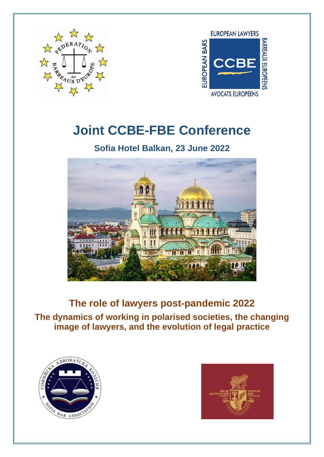

**EUROPEAN LAWYERS BARREAUX EUROPÉENS** EUROPEAN BARS **CCBE AVOCATS EUROPÉENS** 

# **Joint CCBE-FBE Conference**

## **Sofia Hotel Balkan, 23 June 2022**



**The role of lawyers post-pandemic 2022 The dynamics of working in polarised societies, the changing image of lawyers, and the evolution of legal practice**



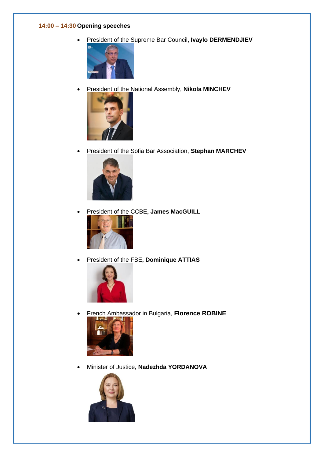#### **14:00 – 14:30 Opening speeches**

• President of the Supreme Bar Council**, Ivaylo DERMENDJIEV**



• President of the National Assembly, **Nikola MINCHEV**



• President of the Sofia Bar Association, **Stephan MARCHEV**



• President of the CCBE**, James MacGUILL**



• President of the FBE**, Dominique ATTIAS**



• French Ambassador in Bulgaria, **Florence ROBINE**



• Minister of Justice, **Nadezhda YORDANOVA**

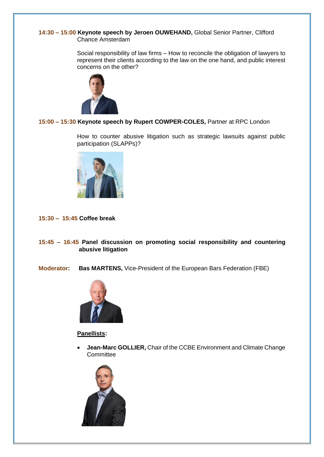#### **14:30 – 15:00 Keynote speech by Jeroen OUWEHAND,** Global Senior Partner, Clifford Chance Amsterdam

Social responsibility of law firms – How to reconcile the obligation of lawyers to represent their clients according to the law on the one hand, and public interest concerns on the other?



### **15:00 – 15:30 Keynote speech by Rupert COWPER-COLES,** Partner at RPC London

How to counter abusive litigation such as strategic lawsuits against public participation (SLAPPs)?



#### **15:30 – 15:45 Coffee break**

**15:45 – 16:45 Panel discussion on promoting social responsibility and countering abusive litigation**

**Moderator: Bas MARTENS,** Vice-President of the European Bars Federation (FBE)



#### **Panellists:**

• **Jean-Marc GOLLIER,** Chair of the CCBE Environment and Climate Change **Committee** 

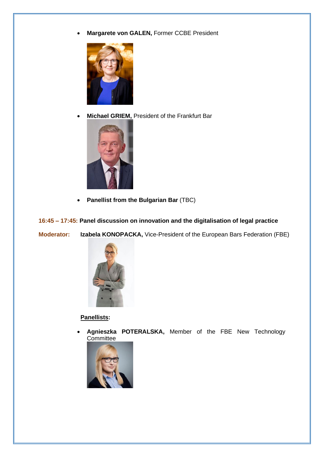• **Margarete von GALEN,** Former CCBE President



• **Michael GRIEM,** President of the Frankfurt Bar



• **Panellist from the Bulgarian Bar** (TBC)

**16:45 – 17:45: Panel discussion on innovation and the digitalisation of legal practice** 

**Moderator: Izabela KONOPACKA,** Vice-President of the European Bars Federation (FBE)



 **Panellists:**

• **Agnieszka POTERALSKA,** Member of the FBE New Technology **Committee**